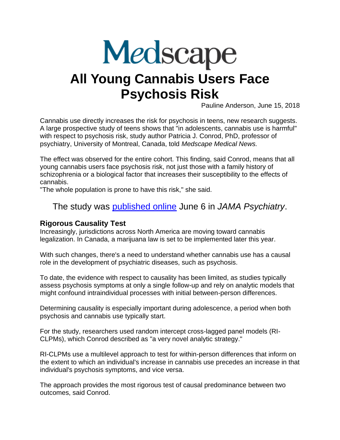# Medscape

## **All Young Cannabis Users Face Psychosis Risk**

Pauline Anderson, June 15, 2018

Cannabis use directly increases the risk for psychosis in teens, new research suggests. A large prospective study of teens shows that "in adolescents, cannabis use is harmful" with respect to psychosis risk, study author Patricia J. Conrod, PhD, professor of psychiatry, University of Montreal, Canada, told *Medscape Medical News.*

The effect was observed for the entire cohort. This finding, said Conrod, means that all young cannabis users face psychosis risk, not just those with a family history of schizophrenia or a biological factor that increases their susceptibility to the effects of cannabis.

"The whole population is prone to have this risk," she said.

### The study was [published online](https://jamanetwork.com/journals/jamapsychiatry/article-abstract/2681642?utm_source=facebook&utm_medium=social_jamapsyc&utm_campaign=article_alert&utm_content=automated) June 6 in *JAMA Psychiatry*.

#### **Rigorous Causality Test**

Increasingly, jurisdictions across North America are moving toward cannabis legalization. In Canada, a marijuana law is set to be implemented later this year.

With such changes, there's a need to understand whether cannabis use has a causal role in the development of psychiatric diseases, such as psychosis.

To date, the evidence with respect to causality has been limited, as studies typically assess psychosis symptoms at only a single follow-up and rely on analytic models that might confound intraindividual processes with initial between-person differences.

Determining causality is especially important during adolescence, a period when both psychosis and cannabis use typically start.

For the study, researchers used random intercept cross-lagged panel models (RI-CLPMs), which Conrod described as "a very novel analytic strategy."

RI-CLPMs use a multilevel approach to test for within-person differences that inform on the extent to which an individual's increase in cannabis use precedes an increase in that individual's psychosis symptoms, and vice versa.

The approach provides the most rigorous test of causal predominance between two outcomes, said Conrod.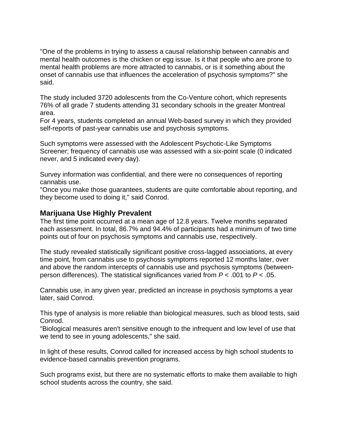"One of the problems in trying to assess a causal relationship between cannabis and mental health outcomes is the chicken or egg issue. Is it that people who are prone to mental health problems are more attracted to cannabis, or is it something about the onset of cannabis use that influences the acceleration of psychosis symptoms?" she said.

The study included 3720 adolescents from the Co-Venture cohort, which represents 76% of all grade 7 students attending 31 secondary schools in the greater Montreal area.

For 4 years, students completed an annual Web-based survey in which they provided self-reports of past-year cannabis use and psychosis symptoms.

Such symptoms were assessed with the Adolescent Psychotic-Like Symptoms Screener; frequency of cannabis use was assessed with a six-point scale (0 indicated never, and 5 indicated every day).

Survey information was confidential, and there were no consequences of reporting cannabis use.

"Once you make those guarantees, students are quite comfortable about reporting, and they become used to doing it," said Conrod.

#### **Marijuana Use Highly Prevalent**

The first time point occurred at a mean age of 12.8 years. Twelve months separated each assessment. In total, 86.7% and 94.4% of participants had a minimum of two time points out of four on psychosis symptoms and cannabis use, respectively.

The study revealed statistically significant positive cross-lagged associations, at every time point, from cannabis use to psychosis symptoms reported 12 months later, over and above the random intercepts of cannabis use and psychosis symptoms (betweenperson differences). The statistical significances varied from *P* < .001 to *P* < .05.

Cannabis use, in any given year, predicted an increase in psychosis symptoms a year later, said Conrod.

This type of analysis is more reliable than biological measures, such as blood tests, said Conrod.

"Biological measures aren't sensitive enough to the infrequent and low level of use that we tend to see in young adolescents," she said.

In light of these results, Conrod called for increased access by high school students to evidence-based cannabis prevention programs.

Such programs exist, but there are no systematic efforts to make them available to high school students across the country, she said.